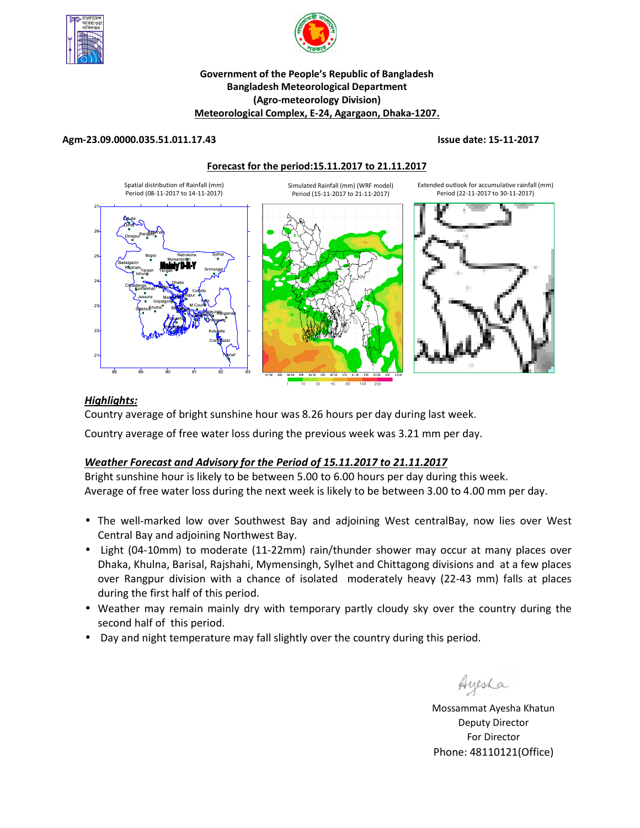



## **Government of the People's Republic of Bangladesh Bangladesh Meteorological Department (Agro-meteorology Division) Meteorological Complex, E-24, Agargaon, Dhaka-1207.**

#### **Agm-23.09.0000.035.51.011.17.43 Issue date: 15-11-2017**

#### **Forecast for the period:15.11.2017 to 21.11.2017**



## *Highlights:*

Country average of bright sunshine hour was 8.26 hours per day during last week.

Country average of free water loss during the previous week was 3.21 mm per day.

## *Weather Forecast and Advisory for the Period of 15.11.2017 to 21.11.2017*

Bright sunshine hour is likely to be between 5.00 to 6.00 hours per day during this week. Average of free water loss during the next week is likely to be between 3.00 to 4.00 mm per day.

- The well-marked low over Southwest Bay and adjoining West centralBay, now lies over West Central Bay and adjoining Northwest Bay.
- Light (04-10mm) to moderate (11-22mm) rain/thunder shower may occur at many places over Dhaka, Khulna, Barisal, Rajshahi, Mymensingh, Sylhet and Chittagong divisions and at a few places over Rangpur division with a chance of isolated moderately heavy (22-43 mm) falls at places during the first half of this period.
- Weather may remain mainly dry with temporary partly cloudy sky over the country during the second half of this period.
- Day and night temperature may fall slightly over the country during this period.

Ayesha

**N.B** Mossammat Ayesha Khatun Deputy Director For Director Phone: 48110121(Office)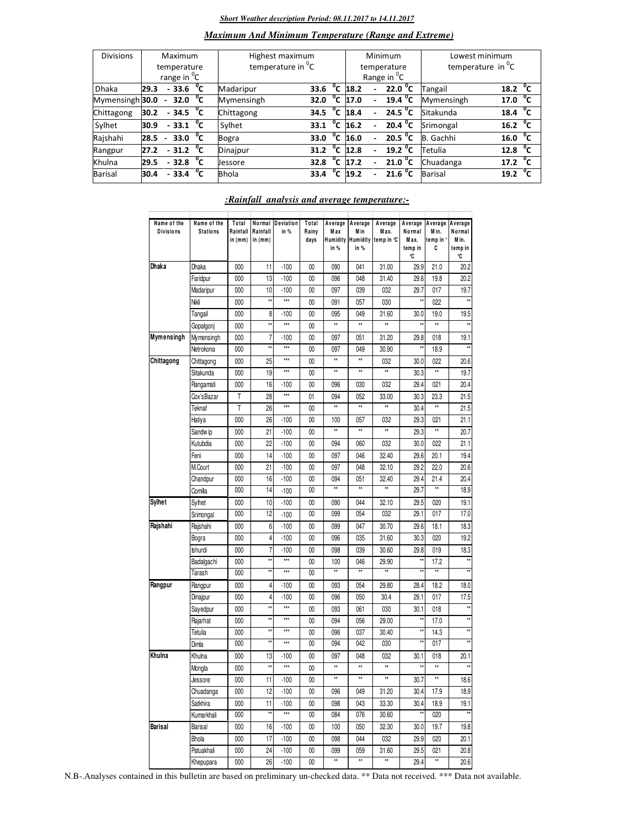#### *Short Weather description Period: 08.11.2017 to 14.11.2017*

|  | <b>Maximum And Minimum Temperature (Range and Extreme)</b> |  |  |  |
|--|------------------------------------------------------------|--|--|--|
|--|------------------------------------------------------------|--|--|--|

| <b>Divisions</b> | Maximum                 |                        |              | Highest maximum               |      |                         | Minimum |                          |                                  | Lowest minimum |                                  |  |
|------------------|-------------------------|------------------------|--------------|-------------------------------|------|-------------------------|---------|--------------------------|----------------------------------|----------------|----------------------------------|--|
|                  | temperature             |                        |              | temperature in <sup>"</sup> C |      | temperature             |         |                          | temperature in $^{\circ}$ C      |                |                                  |  |
|                  | range in <sup>o</sup> C |                        |              |                               |      | Range in <sup>o</sup> C |         |                          |                                  |                |                                  |  |
| <b>Dhaka</b>     | 29.3                    | $-33.6$                | °⊂           | Madaripur                     | 33.6 | $^0$ C                  | 18.2    | $\overline{\phantom{0}}$ | 22.0 °C                          | Tangail        | 18.2 $\degree$ C                 |  |
| Mymensingh 30.0  |                         | 32.0 $^{\circ}$ C<br>٠ |              | Mymensingh                    | 32.0 | $^{\circ}$ c            | 17.0    | $\overline{\phantom{0}}$ | 19.4 $^{\circ}$ C                | Mymensingh     | 17.0 $^{0}C$                     |  |
| Chittagong       | 30.2                    | $-34.5\degree$ C       |              | Chittagong                    | 34.5 | °c                      | 18.4    | $\sim$                   | 24.5 $^{\circ}$ C                | Sitakunda      | $^{\circ}$ c<br>18.4             |  |
| Sylhet           | 30.9                    | $-33.1$ <sup>0</sup> C |              | Sylhet                        | 33.1 | $^{\circ}$ c            | 16.2    | $\blacksquare$           | $\overline{20.4}$ <sup>o</sup> C | Srimongal      | $\overline{16.2}$ <sup>o</sup> C |  |
| Rajshahi         | 28.5                    | 33.0 $^{0}C$<br>$\sim$ |              | Bogra                         | 33.0 | °c                      | 16.0    |                          | $20.5\degree$ C                  | Gachhi<br>B.   | 16.0 $\degree$ C                 |  |
| Rangpur          | 27.2                    | $-31.2 °C$             |              | Dinajpur                      | 31.2 | $^{\circ}$ c            | 12.8    |                          | 19.2 $\degree$ C                 | Tetulia        | 12.8 $^{\circ}$ C                |  |
| Khulna           | 29.5                    | $-32.8$                | ℃            | <b>Jessore</b>                | 32.8 | $\overline{C}$          | 17.2    | $\overline{\phantom{0}}$ | $\overline{21.0}$ <sup>o</sup> C | Chuadanga      | 17.2 $\mathrm{^0C}$              |  |
| <b>Barisal</b>   | 30.4                    | $-33.4$                | $^{\circ}$ c | <b>Bhola</b>                  | 33.4 | $^{\circ}$ c            | 19.2    | $\overline{a}$           | 21.6 <sup>o</sup> C              | Barisal        | $^{\circ}$ c<br>19.2             |  |

## *:Rainfall analysis and average temperature:-*

| Name of the<br><b>Divisions</b> | Name of the<br><b>Stations</b> | Total<br>Rainfall<br>in (mm) | Normal<br>Rainfall<br>in $(mm)$ | Deviation<br>in % | Total<br>Rainy<br>days | Average<br>Max<br>in % | Average<br>M in<br>Humidity Humidity<br>in % | Average<br>Max.<br>temp in °C | Average<br>Normal<br>Max.<br>temp in<br>°C | Average<br>Min.<br>temp in °<br>C | Average<br>Normal<br>Min.<br>temp in<br>°C |
|---------------------------------|--------------------------------|------------------------------|---------------------------------|-------------------|------------------------|------------------------|----------------------------------------------|-------------------------------|--------------------------------------------|-----------------------------------|--------------------------------------------|
| Dhaka                           | Dhaka                          | 000                          | 11                              | $-100$            | $00\,$                 | 090                    | 041                                          | 31.00                         | 29.9                                       | 21.0                              | 20.2                                       |
|                                 | Faridpur                       | 000                          | 13                              | $-100$            | 00                     | 096                    | 048                                          | 31.40                         | 29.6                                       | 19.8                              | 20.2                                       |
|                                 | Madaripur                      | 000                          | 10                              | $-100$            | 00                     | 097                    | 039                                          | 032                           | 29.7                                       | 017                               | 19.7                                       |
|                                 | Nikli                          | 000                          | xx                              | ***               | 00                     | 091                    | 057                                          | 030                           | x                                          | 022                               | xx                                         |
|                                 | Tangail                        | 000                          | 8                               | $-100$            | 00                     | 095                    | 049                                          | 31.60                         | 30.0                                       | 19.0                              | 19.5                                       |
|                                 | Gopalgonj                      | 000                          | xx                              | ***               | 00                     | **                     | **                                           | xx                            | xx                                         | **                                |                                            |
| Mymensingh                      | Mymensingh                     | 000                          | 7                               | -100              | 00                     | 097                    | 051                                          | 31.20                         | 29.8                                       | 018                               | 19.1                                       |
|                                 | Netrokona                      | 000                          | żź                              | $\star\star\star$ | $00\,$                 | 097                    | 049                                          | 30.90                         | ÷,                                         | 18.9                              | **                                         |
| Chittagong                      | Chittagong                     | 000                          | 25                              | $***$             | $00\,$                 | $^{\star\star}$        | $\star\star$                                 | 032                           | 30.0                                       | 022                               | 20.6                                       |
|                                 | Sitakunda                      | 000                          | 19                              | $\star\star\star$ | $00\,$                 | **                     | $\star\star$                                 | xx                            | 30.3                                       | **                                | 19.7                                       |
|                                 | Rangamati                      | 000                          | 16                              | $-100$            | 00                     | 096                    | 030                                          | 032                           | 29.4                                       | 021                               | 20.4                                       |
|                                 | Cox'sBazar                     | T                            | 28                              | $***$             | 01                     | 094                    | 052                                          | 33.00                         | 30.3                                       | 23.3                              | 21.5                                       |
|                                 | Teknaf                         | T                            | 26                              | ***               | $00\,$                 | $^{\star\star}$        | $\star\star$                                 | $\star\star$                  | 30.4                                       | $\star\star$                      | 21.5                                       |
|                                 | Hatiya                         | 000                          | 26                              | $-100$            | 00                     | 100                    | 057                                          | 032                           | 29.3                                       | 021                               | 21.1                                       |
|                                 | Sandw ip                       | 000                          | 21                              | $-100$            | 00                     | **                     | $\star\star$                                 | **                            | 29.3                                       | $\star\star$                      | 20.7                                       |
|                                 | Kutubdia                       | 000                          | 22                              | $-100$            | $00\,$                 | 094                    | 060                                          | 032                           | 30.0                                       | 022                               | 21.1                                       |
|                                 | Feni                           | 000                          | 14                              | $-100$            | $00\,$                 | 097                    | 046                                          | 32.40                         | 29.6                                       | 20.1                              | 19.4                                       |
|                                 | M.Court                        | 000                          | 21                              | $-100$            | $00\,$                 | 097                    | 048                                          | 32.10                         | 29.2                                       | 22.0                              | 20.6                                       |
|                                 | Chandpur                       | 000                          | 16                              | $-100$            | 00                     | 094                    | 051                                          | 32.40                         | 29.4                                       | 21.4                              | 20.4                                       |
|                                 | Comilla                        | 000                          | 14                              | $-100$            | $00\,$                 | $\star\star$           | **                                           | xx                            | 29.7                                       | **                                | 18.9                                       |
| <b>Sylhet</b>                   | Sylhet                         | 000                          | 10                              | $-100$            | $00\,$                 | 090                    | 044                                          | 32.10                         | 29.5                                       | 020                               | 19.1                                       |
|                                 | Srimongal                      | 000                          | 12                              | $-100$            | $00\,$                 | 099                    | 054                                          | 032                           | 29.1                                       | 017                               | 17.0                                       |
| Rajshahi                        | Rajshahi                       | 000                          | 6                               | $-100$            | 00                     | 099                    | 047                                          | 30.70                         | 29.6                                       | 18.1                              | 18.3                                       |
|                                 | Bogra                          | 000                          | 4                               | $-100$            | 00                     | 096                    | 035                                          | 31.60                         | 30.3                                       | 020                               | 19.2                                       |
|                                 | Ishurdi                        | 000                          | 7                               | $-100$            | $00\,$                 | 098                    | 039                                          | 30.60                         | 29.8                                       | 019                               | 18.3                                       |
|                                 | Badalgachi                     | 000                          | żź                              | $***$             | $00\,$                 | 100                    | 046                                          | 29.90                         | żż                                         | 17.2                              | xx                                         |
|                                 | Tarash                         | 000                          | źź                              | ***               | $00\,$                 | Ħ                      | xx                                           | xx                            | ź,                                         | xx                                |                                            |
| Rangpur                         | Rangpur                        | 000                          | 4                               | $-100$            | 00                     | 093                    | 054                                          | 29.80                         | 28.4                                       | 18.2                              | 18.0                                       |
|                                 | Dinajpur                       | 000                          | 4                               | $-100$            | $00\,$                 | 096                    | 050                                          | 30.4                          | 29.1                                       | 017                               | 17.5                                       |
|                                 | Sayedpur                       | 000                          | źź                              | $\star\star\star$ | $00\,$                 | 093                    | 061                                          | 030                           | 30.1                                       | 018                               | xx                                         |
|                                 | Rajarhat                       | 000                          | żź                              | ***               | 00                     | 094                    | 056                                          | 29.00                         | żź                                         | 17.0                              | xx                                         |
|                                 | Tetulia                        | 000                          |                                 | ***               | 00                     | 096                    | 037                                          | 30.40                         | ×                                          | 14.3                              | xx                                         |
|                                 | Dimla                          | 000                          | żź                              | ***               | 00                     | 094                    | 042                                          | 030                           | żż                                         | 017                               | $\ddot{x}$                                 |
| Khulna                          | Khulna                         | 000                          | 13                              | $-100$            | $00\,$                 | 097                    | 048                                          | 032                           | 30.1                                       | 018                               | 20.1                                       |
|                                 | Mongla                         | 000                          | xx                              | ***               | 00                     | ×                      | xx                                           | $\star$                       | xx                                         | xx                                | xx                                         |
|                                 | Jessore                        | 000                          | 11                              | $-100$            | $\overline{00}$        | ×                      | xx                                           | xx                            | 30.7                                       | **                                | 18.6                                       |
|                                 | Chuadanga                      | 000                          | 12                              | $-100$            | 00                     | 096                    | 049                                          | 31.20                         | 30.4                                       | 17.9                              | 18.9                                       |
|                                 | Satkhira                       | 000                          | 11                              | $-100$            | 00                     | 098                    | 043                                          | 33.30                         | 30.4                                       | 18.9                              | 19.1                                       |
|                                 | Kumarkhali                     | 000                          | **                              | $\star\star\star$ | 00                     | 084                    | 076                                          | 30.60                         | ŧż                                         | 020                               | **                                         |
| Barisal                         | Barisal                        | 000                          | 16                              | $-100$            | 00                     | 100                    | 050                                          | 32.30                         | 30.0                                       | 19.7                              | 19.8                                       |
|                                 | Bhola                          | 000                          | 17                              | $-100$            | 00                     | 098                    | 044                                          | 032                           | 29.9                                       | 020                               | 20.1                                       |
|                                 | Patuakhali                     | 000                          | 24                              | $-100$            | 00                     | 099                    | 059                                          | 31.60                         | 29.5                                       | 021                               | 20.8                                       |
|                                 | Khepupara                      | 000                          | 26                              | $-100$            | $00\,$                 | ×                      | $\star\star$                                 | xx                            | 29.4                                       | **                                | 20.6                                       |

N.B-.Analyses contained in this bulletin are based on preliminary un-checked data. \*\* Data not received. \*\*\* Data not available.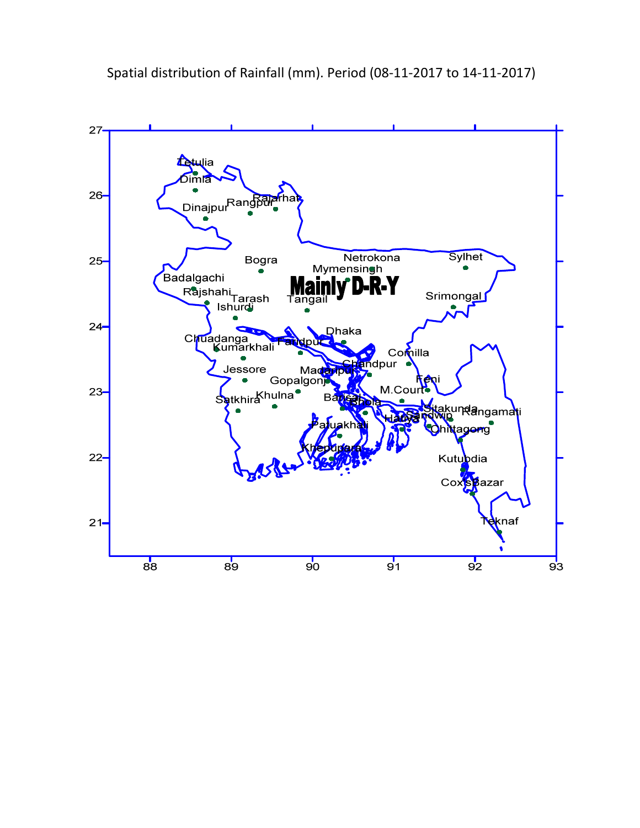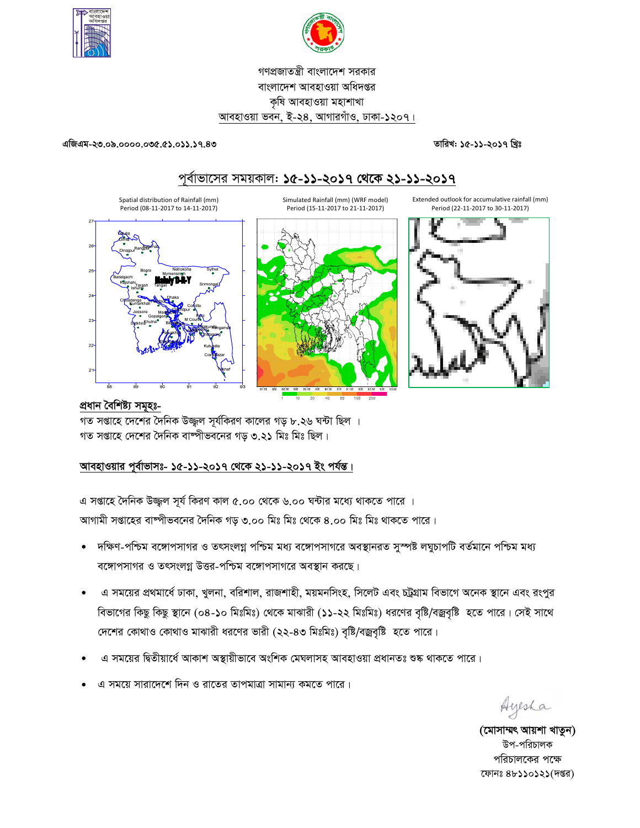



গণপ্রজাতন্ত্রী বাংলাদেশ সরকার বাংলাদেশ আবহাওয়া অধিদপ্তর কৃষি আবহাওয়া মহাশাখা আবহাওয়া ভবন, ই-২৪, আগারগাঁও, ঢাকা-১২০৭।

#### এজিএম-২৩.০৯.০০০০.০৩৫.৫১.০১১.১৭.৪৩

তারিখ: ১৫-১১-২০১৭ খ্রিঃ



প্ৰধান বৈশিষ্ট্য সমূহঃ-

গত সপ্তাহে দেশের দৈনিক উজ্জল সূর্যকিরণ কালের গড় ৮.২৬ ঘন্টা ছিল । গত সপ্তাহে দেশের দৈনিক বাষ্পীভবনের গড় ৩.২১ মিঃ মিঃ ছিল।

# আবহাওয়ার পূর্বাভাসঃ- ১৫-১১-২০১৭ থেকে ২১-১১-২০১৭ ইং পর্যন্ত।

এ সপ্তাহে দৈনিক উজ্জুল সূর্য কিরণ কাল ৫.০০ থেকে ৬.০০ ঘন্টার মধ্যে থাকতে পারে । আগামী সপ্তাহের বাষ্পীভবনের দৈনিক গড় ৩.০০ মিঃ মিঃ থেকে ৪.০০ মিঃ মিঃ থাকতে পারে।

- দক্ষিণ-পশ্চিম বঙ্গোপসাগর ও তৎসংলগ্ন পশ্চিম মধ্য বঙ্গোপসাগরে অবস্থানরত সুস্পষ্ট লঘুচাপটি বর্তমানে পশ্চিম মধ্য  $\bullet$ বঙ্গোপসাগর ও তৎসংলগ্ন উত্তর-পশ্চিম বঙ্গোপসাগরে অবস্থান করছে।
- এ সময়ের প্রথমার্ধে ঢাকা, খুলনা, বরিশাল, রাজশাহী, ময়মনসিংহ, সিলেট এবং চট্টগ্রাম বিভাগে অনেক স্থানে এবং রংপুর বিভাগের কিছু কিছু স্থানে (০৪-১০ মিঃমিঃ) থেকে মাঝারী (১১-২২ মিঃমিঃ) ধরণের বৃষ্টি/বজ্রবৃষ্টি হতে পারে। সেই সাথে দেশের কোথাও কোথাও মাঝারী ধরণের ভারী (২২-৪৩ মিঃমিঃ) বৃষ্টি/বজ্রবৃষ্টি হতে পারে।
- এ সময়ের দ্বিতীয়ার্ধে আকাশ অস্থায়ীভাবে অংশিক মেঘলাসহ আবহাওয়া প্রধানতঃ শুষ্ক থাকতে পারে।
- এ সময়ে সারাদেশে দিন ও রাতের তাপমাত্রা সামান্য কমতে পারে।

Ayesha

(মোসাম্মৎ আয়শা খাতুন) উপ-পরিচালক পরিচালকের পক্ষে ফোনঃ ৪৮১১০১২১(দপ্তর)

# পূর্বাভাসের সময়কাল: ১৫-১১-২০১৭ থেকে ২১-১১-২০১৭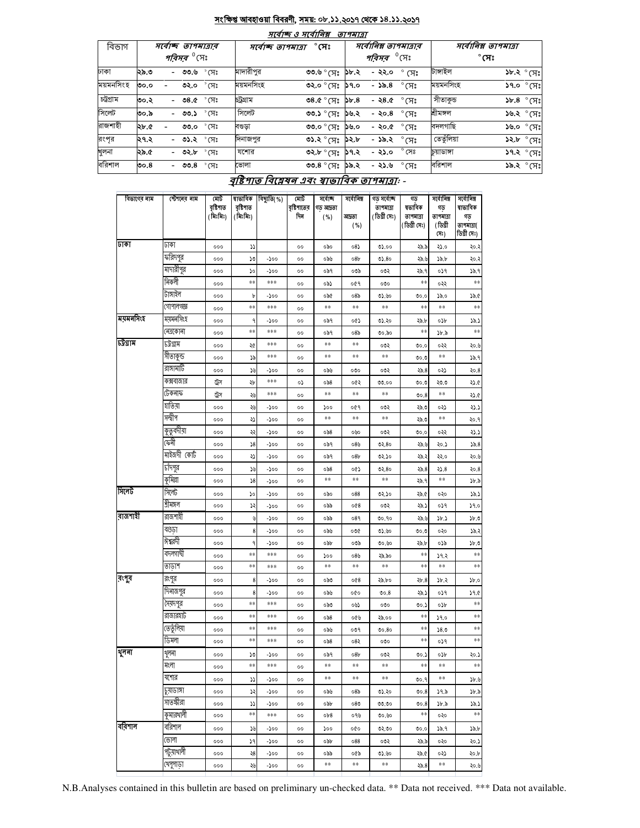#### <u>সংক্ষিপ্ত আবহাওয়া বিবরণী, সময়: ০৮.১১.২০১৭ থেকে ১৪.১১.২০১৭</u>  $\overline{A}$

. . .

|           |                                                      |                | માવાજ હ માવા। વક્ષ |                     | <i><b>9174191</b></i> |                                                        |                |                                      |                 |                            |
|-----------|------------------------------------------------------|----------------|--------------------|---------------------|-----------------------|--------------------------------------------------------|----------------|--------------------------------------|-----------------|----------------------------|
| বিভাগ     | সৰ্বোচ্ছ তাপমাত্ৰাৰ<br><i>পরিসর <sup>৩</sup></i> সেঃ |                | সৰ্বোচ্ছ তাপমাত্ৰা | $^\circ$ সেঃ        |                       | সর্বোনিম্ন তাপমাত্রার<br><i>পরিসর <sup>৩</sup></i> সেঃ |                | সর্বোনিম্ন তাপমাত্রা<br>$^\circ$ সেঃ |                 |                            |
| ঢাকা      | ২৯.৩<br>- ৩৩.৬ °C সিঃ                                |                | মাদারীপুর          | ৩৩.৬ ° (সঃ          | ১৮.২                  | - ২২.০                                                 | $^{\circ}$ (সঃ | টাঙ্গাইল                             |                 | $\delta x.$ ২ $\delta$ সেঃ |
| ময়মনসিংহ | ৩২.০ °সেঃ<br>৩০.০                                    |                | ময়মনসিংহ          | ৩২.০ ° সেঃ          | <b>5</b> 9.0          | - ১৯.৪                                                 | $^{\circ}$ সেঃ | ময়মনসিংহ                            |                 | $39.0 °$ (সঃ               |
| চট্টগ্ৰাম | - 08.0<br>৩০.২                                       | $^{\circ}$ সেঃ | চট্টগ্ৰাম          | ৩৪.৫ ° সেঃ          | 56.8                  | -২৪.৫                                                  | °(प्र`         | াসীতাকুভ                             | $3b.8$ $\gamma$ |                            |
| সিলেট     | ৩০.৯<br>- ৩৩.১                                       | $^{\circ}$ সেঃ | সিলেট              | ৩৩.১ ° সেঃ          | ১৬.২                  | - ২০.৪                                                 | $^{\circ}$ সেঃ | শ্ৰীমঙ্গল                            | $38.8°$ সেঃ     |                            |
| রাজশাহী   | ২৮.৫<br>৩৩.০                                         | $^{\circ}$ মেঃ | বণ্ডড়া            | <b>৩৩.০</b> ° সেঃ   | ১৬.০                  | - ২০.৫                                                 | $^\circ$ (ਸਃ   | বদলগাছি                              |                 | $\mathcal{S}^\infty$ ০.৶১  |
| রংপর      | - ৩১.২ °সেঃ<br>।২৭.২                                 |                | দিনাজপুর           | ৩১.২ ° সেঃ          | ১২.৮                  | - ১৯.২                                                 | $\degree$ (সঃ  | তেতুঁলিয়া                           |                 | ১২.৮ ° সেঃ                 |
| খুলনা     | ২৯.৫<br>- ৩২.৮                                       | $^{\circ}$ সেঃ | যশোর               | ৩২.৮ ° সেঃ          | ১৭.২                  | - ২১.০                                                 | $^{\circ}$ সেঃ | চয়াডাঙ্গা                           |                 | ১৭.২ ° সেঃ                 |
| বরিশাল    | - ৩৩.৪ ° সেঃ<br>ರಿಂ. $8$                             |                | ভোলা               | ৩৩.৪ $^{\circ}$ (সঃ | ১৯.২                  | - ২১.৬                                                 | $\degree$ CF)  | বরিশাল                               |                 | ১৯.২ ° সেঃ                 |

# বৃষ্টিপাত বিশ্লেষৰ এবং স্বাভাবিক তাপমাত্ৰা: -

| বিভাগের নাম | স্টেশনের নাম | মোট<br>বষ্টিশাত<br>(মিঃমিঃ) | ষাভাবিক<br>বৃষ্টিপাত<br>(মিঃমিঃ) | বিছ্যুতি(%) | মোট<br>বৃষ্টিশাতের<br>দিন | সৰ্বোচ্ছ<br>গড আদ্ৰতা<br>( %) | সৰ্বোনিম্ন<br>আদ্ৰতা<br>( %) | গড সৰ্বোচ্ছ<br>তাপমাত্রা<br>(ডিগ্ৰী সেঃ) | গড<br>ষভাবিক<br>তাপমাত্রা<br>(ডিগ্ৰী সেঃ) | সৰ্বোনিম্ন<br>গড<br>তাপমাত্রা<br>(ডিগ্ৰী<br>(সঃ) | সৰ্বোনিম্ন<br>ষাভাবিক<br>গড়<br>তাপমাত্রা(<br>ডিগ্ৰী সেঃ) |
|-------------|--------------|-----------------------------|----------------------------------|-------------|---------------------------|-------------------------------|------------------------------|------------------------------------------|-------------------------------------------|--------------------------------------------------|-----------------------------------------------------------|
| ঢাকা        | ঢাকা         | 000                         | ډډ                               |             | 00                        | ০৯০                           | 08                           | 02.00                                    | ২৯.৯                                      | ২১.০                                             | २०.२                                                      |
|             | ফরিদপুর      | 000                         | ১৩                               | -১০০        | $^{\circ}$                | ০৯৬                           | 08 <sub>b</sub>              | 02.80                                    | ২৯.৬                                      | ১৯.৮                                             | २०.२                                                      |
|             | মাদারীপুর    | 000                         | ১০                               | -১০০        | 00                        | ০৯৭                           | ০৩৯                          | ০৩২                                      | ২৯.৭                                      | ०১৭                                              | ১৯.৭                                                      |
|             | নিকলী        | 000                         | **                               | ***         | 00                        | ০৯১                           | ०৫१                          | ೲ                                        | **                                        | ०२२                                              | **                                                        |
|             | টাঙ্গাইল     | 000                         | Ъ                                | -১০০        | $^{00}$                   | ০৯৫                           | ०8৯                          | ৩১.৬০                                    | 0.00                                      | ১৯.০                                             | ১৯.৫                                                      |
|             | গোপালগজ্ঞ    | 000                         | **                               | ***         | $^{00}$                   | **                            | **                           | **                                       | **                                        | **                                               | **                                                        |
| ময়মনসিংহ   | ময়মনসিংহ    | 000                         | ٩                                | -১০০        | $^{00}$                   | ০৯৭                           | ०৫১                          | ৩১.২০                                    | ২৯.৮                                      | ০১৮                                              | 79.                                                       |
|             | নেত্ৰকোনা    | 000                         | **                               | ***         | $^{00}$                   | ০৯৭                           | 08 <sub>0</sub>              | ৩০.৯০                                    | $\ast\ast$                                | ১৮.৯                                             | $***$                                                     |
| ঢট্ৰগ্ৰাম   | ঢট্ৰগ্ৰাম    | 000                         | ২৫                               | ***         | 00                        | $***$                         | $\ast\ast$                   | ০৩২                                      | 0.00                                      | ०२२                                              | ২০.৬                                                      |
|             | সীতাকুন্ড    | 000                         | ১৯                               | ***         | 00                        | $***$                         | $\ast\ast$                   | **                                       | 0.00                                      | **                                               | 38.9                                                      |
|             | রাঙ্গামাটি   | 000                         | ১৬                               | -১০০        | 00                        | ০৯৬                           | ೲ                            | ০৩২                                      | 25.8                                      | ০২১                                              | २०.8                                                      |
|             | কক্সবাজার    | ট্রেস                       | ২৮                               | ***         | ٥,                        | 058                           | ०৫২                          | 00.00                                    | 0.00                                      | ২৩.৩                                             | ২১.৫                                                      |
|             | টেকনাফ       | ট্ৰস                        | ২৬                               | ***         | 00                        | **                            | **                           | **                                       | 00.8                                      | **                                               | ২১.৫                                                      |
|             | হাতিয়া      | 000                         | ২৬                               | -১০০        | 00                        | ১০০                           | ०৫१                          | ০৩২                                      | ২৯.৩                                      | ০২১                                              | ২১.১                                                      |
|             | সন্দ্বীপ     | 000                         | ړډ                               | -১০০        | 00                        | **                            | **                           | **                                       | ২৯.৩                                      | **                                               | ২০.৭                                                      |
|             | কুতুবদীয়া   | 000                         | ২২                               | -১০০        | 00                        | 058                           | ০৬০                          | ০৩২                                      | 0.00                                      | ०२२                                              | ২১.:                                                      |
|             | ফেনী         | 000                         | 38                               | -১০০        | 00                        | ০৯৭                           | ০8৬                          | 02.80                                    | ২৯.৬                                      | ২০.১                                             | 35.8                                                      |
|             | মাইজদী কোট   | 000                         | ২১                               | -১০০        | 00                        | ০৯৭                           | 08 <sub>b</sub>              | ৩২.১০                                    | ২৯.২                                      | ২২.০                                             | ২০.৬                                                      |
|             | চাঁদপুর      | 000                         | ১৬                               | -১০০        | 00                        | ಂನಿ $8$                       | oQ)                          | 02.80                                    | 25.8                                      | 3.8                                              | २०.8                                                      |
|             | কুমিল্লা     | 000                         | 38                               | -১০০        | 00                        | **                            | **                           | **                                       | ২৯.৭                                      | **                                               | ১৮.৯                                                      |
| সিলেট       | সিলেট        | 000                         | ১০                               | -১০০        | 00                        | ০৯০                           | 088                          | ৩২.১০                                    | ২৯.৫                                      | ०२०                                              | : ۵۵                                                      |
|             | শ্ৰীমঙ্গল    | 000                         | ډړ                               | -১০০        | 00                        | ০৯৯                           | 008                          | ০৩২                                      | ২৯.১                                      | ०১৭                                              | 39.0                                                      |
| রাজশাহী     | রাজশাহী      | 000                         | ৬                                | -200        | 00                        | ০৯৯                           | 089                          | 00.90                                    | ২৯.৬                                      | ১৮.১                                             | $3b$ .C                                                   |
|             | বগুডা        | 000                         | 8                                | -200        | 00                        | ০৯৬                           | ০৩৫                          | 05.60                                    | 0.00                                      | ०२०                                              | 79.                                                       |
|             | ঈশ্বরদী      | 000                         | ٩                                | -200        | 00                        | ০৯৮                           | ০৩৯                          | ৩৩.৬০                                    | ২৯.৮                                      | ০১৯                                              | 3b.3                                                      |
|             | বদলগাৰ্ঘী    | 000                         | **                               | ***         | 00                        | ১০০                           | ০8৬                          | ২৯.৯০                                    | $***$                                     | ১৭.২                                             | **                                                        |
|             | তাড়াশ       | 000                         | **                               | ***         | 00                        | **                            | **                           | **                                       | $\ast\ast$                                | **                                               | **                                                        |
| রংপুর       | রংপুর        | 000                         | 8                                | -১০০        | 00                        | ಂನಿರಿ                         | 008                          | ২৯.৮০                                    | $\lambda b.8$                             | ১৮.২                                             | b.c                                                       |
|             | দিনাজপুর     | 000                         | 8                                | -১০০        | 00                        | ০৯৬                           | oQo                          | 00.8                                     | ২৯.১                                      | ०১৭                                              | 29.0                                                      |
|             | সৈয়দপুর     | 000                         | **                               | ***         | 00                        | ಂನಿರಿ                         | ০৬১                          | ೲ                                        | 00.5                                      | ০১৮                                              | **                                                        |
|             | রাজারহার্ট   | 000                         | $**$                             | ***         | 00                        | 058                           | ০৫৬                          | ২৯.০০                                    | **                                        | 59.0                                             | **                                                        |
|             | তেতুঁলিয়া   | 000                         | $**$                             | ***         | 00                        | ০৯৬                           | ०७१                          | 00.80                                    | **                                        | 58.0                                             | **                                                        |
|             | ডিমলা        | 000                         | $**$                             | ***         | $^{\circ}$                | ಂನಿ $8$                       | ০৪২                          | ೲ                                        | **                                        | ०১१                                              | $**$                                                      |
| থুলনা       | থুলনা        | 000                         | SO.                              | -১০০        | $^{\circ}$                | ০৯৭                           | 08 <sub>b</sub>              | ০৩২                                      | 00.5                                      | osb                                              | ২০.১                                                      |
|             | মংলা         | 000                         | **                               | $***$       | 00                        | **                            | $\ast\ast$                   | **                                       | **                                        | **                                               | **                                                        |
|             | যশোর         | 000                         | دد                               | -১০০        | 00                        | **                            | **                           | **                                       | 00.9                                      | **                                               | 3b.8                                                      |
|             | प्रसाजना     | 000                         | ১২                               | -১০০        | 00                        | ০৯৬                           | ०8৯                          | ৩১.২০                                    | 00.8                                      | ১৭.৯                                             | ১৮.৯                                                      |
|             | সাতস্কীরা    | 000                         | دد                               | -১০০        | 00                        | ০৯৮                           | ०8७                          | ৩৩.৩০                                    | 00.8                                      | ১৮.৯                                             | د دد                                                      |
|             | কুমারথালী    | 000                         | **                               | ***         | 00                        | 0 <sub>b</sub> 8              | ०१७                          | 00.00                                    | **                                        | ०२०                                              | **                                                        |
| বরিশাল      | বরিশাল       | 000                         | ১৬                               | -১০০        | 00                        | ১০০                           | oQo                          | ৩২.৩০                                    | 0.00                                      | ১৯.৭                                             | ১৯.৮                                                      |
|             | ভোলা         | ०००                         | ١٩                               | -১০০        | 00                        | ০৯৮                           | 088                          | ০৩২                                      | ২৯.৯                                      | ०२०                                              | ২০.১                                                      |
|             | পটুয়াথালী   | 000                         | ২৪                               | -১০০        | ٥٥                        | ০৯৯                           | ০৫৯                          | ৩১.৬০                                    | ২৯.৫                                      | ०२১                                              | ২০.৮                                                      |
|             | থেপুপাড়া    | 000                         | ২৬                               | -200        | 00                        | **                            | $\ast\ast$                   | $\ast\ast$                               | 25.8                                      | **                                               | ২০.৬                                                      |

N.B.Analyses contained in this bulletin are based on preliminary un-checked data. \*\* Data not received. \*\*\* Data not available.